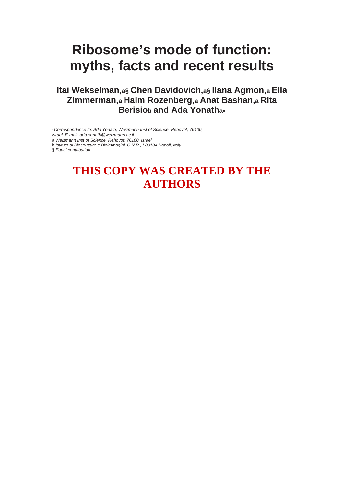## **Ribosome's mode of function: myths, facts and recent results**

## **Itai Wekselman,a§ Chen Davidovich,a§ Ilana Agmon,a Ella Zimmerman,a Haim Rozenberg,a Anat Bashan,a Rita Berisiob and Ada Yonatha**∗

∗ *Correspondence to: Ada Yonath, Weizmann Inst of Science, Rehovot, 76100,* 

*Israel. E-mail: ada.yonath@weizmann.ac.il* 

a *Weizmann Inst of Science, Rehovot, 76100, Israel* 

b *Istituto di Biostrutture e Bioimmagini, C.N.R., I-80134 Napoli, Italy* 

§ *Equal contribution*

## **THIS COPY WAS CREATED BY THE AUTHORS**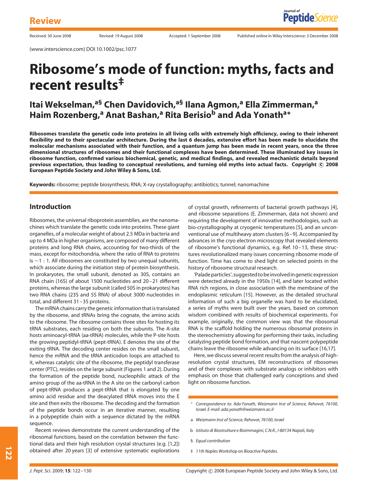(www.interscience.com) DOI 10.1002/psc.1077

## **Ribosome's mode of function: myths, facts and recent results‡**

## **Itai Wekselman,a§ Chen Davidovich,a§ Ilana Agmon,<sup>a</sup> Ella Zimmerman,<sup>a</sup> Haim Rozenberg,**<sup>a</sup> Anat Bashan,<sup>a</sup> Rita Berisio<sup>b</sup> and Ada Yonath<sup>a</sup><sup>\*</sup>

**Ribosomes translate the genetic code into proteins in all living cells with extremely high efficiency, owing to their inherent flexibility and to their spectacular architecture. During the last 6 decades, extensive effort has been made to elucidate the molecular mechanisms associated with their function, and a quantum jump has been made in recent years, once the three dimensional structures of ribosomes and their functional complexes have been determined. These illuminated key issues in ribosome function, confirmed various biochemical, genetic, and medical findings, and revealed mechanistic details beyond previous expectation, thus leading to conceptual revolutions, and turning old myths into actual facts. Copyright c 2008 European Peptide Society and John Wiley & Sons, Ltd.**

**Keywords:** ribosome; peptide biosynthesis; RNA; X-ray crystallography; antibiotics; tunnel; nanomachine

#### **Introduction**

Ribosomes, the universal riboprotein assemblies, are the nanomachines which translate the genetic code into proteins. These giant organelles, of a molecular weight of about 2.5 MDa in bacteria and up to 4 MDa in higher organisms, are composed of many different proteins and long RNA chains, accounting for two-thirds of the mass, except for mitochondria, where the ratio of RNA to proteins is ∼1 : 1. All ribosomes are constituted by two unequal subunits, which associate during the initiation step of protein biosynthesis. In prokaryotes, the small subunit, denoted as 30S, contains an RNA chain (16S) of about 1500 nucleotides and 20–21 different proteins, whereas the large subunit (called 50S in prokaryotes) has two RNA chains (23S and 5S RNA) of about 3000 nucleotides in total, and different 31–35 proteins.

The mRNA chains carry the genetic information that is translated by the ribosome, and tRNAs bring the cognate, the amino acids to the ribosome. The ribosome contains three sites for hosting its tRNA substrates, each residing on both the subunits. The A-site hosts aminoacyl-tRNA (aa-tRNA) molecules, while the P-site hosts the growing peptidyl-tRNA (pept-tRNA). E denotes the site of the exiting tRNA. The decoding center resides on the small subunit, hence the mRNA and the tRNA anticodon loops are attached to it, whereas catalytic site of the ribosome, the peptidyl transferase center (PTC), resides on the large subunit (Figures 1 and 2). During the formation of the peptide bond, nucleophilic attack of the amino group of the aa-tRNA in the A site on the carbonyl carbon of pept-tRNA produces a pept-tRNA that is elongated by one amino acid residue and the deacylated tRNA moves into the E site and then exits the ribosome. The decoding and the formation of the peptide bonds occur in an iterative manner, resulting in a polypeptide chain with a sequence dictated by the mRNA sequence.

Recent reviews demonstrate the current understanding of the ribosomal functions, based on the correlation between the functional data and their high resolution crystal structures (e.g. [1,2]) obtained after 20 years [3] of extensive systematic explorations of crystal growth, refinements of bacterial growth pathways [4], and ribosome separations (E. Zimmerman, data not shown) and requiring the development of innovative methodologies, such as bio-crystallography at cryogenic temperatures [5], and an unconventional use of multiheavy atom clusters [6–9]. Accompanied by advances in the cryo electron microscopy that revealed elements of ribosome's functional dynamics, e.g. Ref. 10–13, these structures revolutionalized many issues concerning ribosome mode of function. Time has come to shed light on selected points in the history of ribosome structural research.

'Palade particles', suggested to be involved in genetic expression were detected already in the 1950s [14], and later located within RNA rich regions, in close association with the membrane of the endoplasmic reticulum [15]. However, as the detailed structural information of such a big organelle was hard to be elucidated, a series of myths were built over the years, based on common wisdom combined with results of biochemical experiments. For example, originally, the common view was that the ribosomal RNA is the scaffold holding the numerous ribosomal proteins in the stereochemistry allowing for performing their tasks, including catalyzing peptide bond formation, and that nascent polypeptide chains leave the ribosome while advancing on its surface [16,17].

Here, we discuss several recent results from the analysis of highresolution crystal structures, EM reconstructions of ribosomes and of their complexes with substrate analogs or inhibitors with emphasis on those that challenged early conceptions and shed light on ribosome function.

- ∗ *Correspondence to: Ada Yonath, Weizmann Inst of Science, Rehovot, 76100, Israel. E-mail: ada.yonath@weizmann.ac.il*
- a *Weizmann Inst of Science, Rehovot, 76100, Israel*
- b *Istituto di Biostrutture e Bioimmagini, C.N.R., I-80134 Napoli, Italy*
- § *Equal contribution*
- ‡ *11th Naples Workshop on Bioactive Peptides.*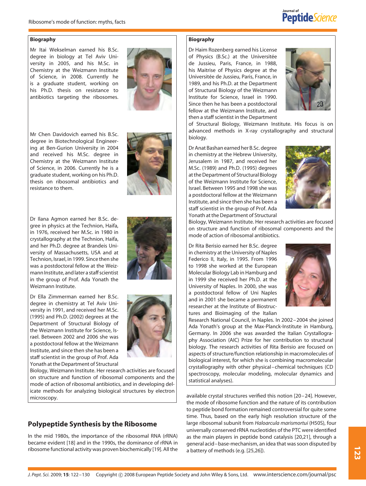

#### **Biography**

Mr Itai Wekselman earned his B.Sc. degree in biology at Tel Aviv University in 2005, and his M.Sc. in Chemistry at the Weizmann Institute of Science, in 2008. Currently he is a graduate student, working on his Ph.D. thesis on resistance to antibiotics targeting the ribosomes.



Mr Chen Davidovich earned his B.Sc. degree in Biotechnological Engineering at Ben-Gurion University in 2004 and received his M.Sc. degree in Chemistry at the Weizmann Institute of Science, in 2006. Currently he is a graduate student, working on his Ph.D. thesis on ribosomal antibiotics and resistance to them.

Dr Ilana Agmon earned her B.Sc. degree in physics at the Technion, Haifa, in 1976, received her M.Sc. in 1980 in crystallography at the Technion, Haifa, and her Ph.D. degree at Brandeis University of Massachusetts, USA and at Technion, Israel, in 1999. Since then she was a postdoctoral fellow at the Weizmann Institute, and later a staff scientist in the group of Prof. Ada Yonath the Weizmann Institute.

Dr Ella Zimmerman earned her B.Sc. degree in chemistry at Tel Aviv University in 1991, and received her M.Sc. (1995) and Ph.D. (2002) degrees at the Department of Structural Biology of the Weizmann Institute for Science, Israel. Between 2002 and 2006 she was a postdoctoral fellow at the Weizmann Institute, and since then she has been a staff scientist in the group of Prof. Ada Yonath at the Department of Structural



## **Polypeptide Synthesis by the Ribosome**

In the mid 1980s, the importance of the ribosomal RNA (rRNA) became evident [18] and in the 1990s, the dominance of rRNA in ribosome functional activity was proven biochemically [19]. All the







#### **Biography**

Dr Haim Rozenberg earned his License of Physics (B.Sc.) at the Universitée de Jussieu, Paris, France, in 1988, his Maitrise of Physics degree at the Universitée de Jussieu, Paris, France, in 1989, and his Ph.D. at the Department of Structural Biology of the Weizmann Institute for Science, Israel in 1990. Since then he has been a postdoctoral fellow at the Weizmann Institute, and then a staff scientist in the Department



of Structural Biology, Weizmann Institute. His focus is on advanced methods in X-ray crystallography and structural biology.

Dr Anat Bashan earned her B.Sc. degree in chemistry at the Hebrew University, Jerusalem in 1987, and received her M.Sc. (1989) and Ph.D. (1995) degrees at the Department of Structural Biology of the Weizmann Institute for Science, Israel. Between 1995 and 1998 she was a postdoctoral fellow at the Weizmann Institute, and since then she has been a staff scientist in the group of Prof. Ada Yonath at the Department of Structural



Biology, Weizmann Institute. Her research activities are focused on structure and function of ribosomal components and the mode of action of ribosomal antibiotics.

Dr Rita Berisio earned her B.Sc. degree in chemistry at the University of Naples Federico II, Italy, in 1995. From 1996 to 1998 she worked at the European Molecular Biology Lab in Hamburg and in 1999 she received her Ph.D. at the University of Naples. In 2000, she was a postdoctoral fellow of Uni Naples and in 2001 she became a permanent researcher at the Institute of Biostructures and Bioimaging of the Italian



Research National Council, in Naples. In 2002–2004 she joined Ada Yonath's group at the Max-Planck-Institute in Hamburg, Germany. In 2006 she was awarded the Italian Crystallography Association (AIC) Prize for her contribution to structural biology. The research activities of Rita Berisio are focused on aspects of structure/function relationship in macromolecules of biological interest, for which she is combining macromolecular crystallography with other physical–chemical techniques (CD spectroscopy, molecular modeling, molecular dynamics and statistical analyses).

available crystal structures verified this notion [20–24]. However, the mode of ribosome function and the nature of its contribution to peptide bond formation remained controversial for quite some time. Thus, based on the early high resolution structure of the large ribosomal subunit from *Haloarcula marismortui* (H50S), four universally conserved rRNA nucleotides of the PTC were identified as the main players in peptide bond catalysis [20,21], through a general acid–base-mechanism, an idea that was soon disputed by a battery of methods (e.g. [25,26]).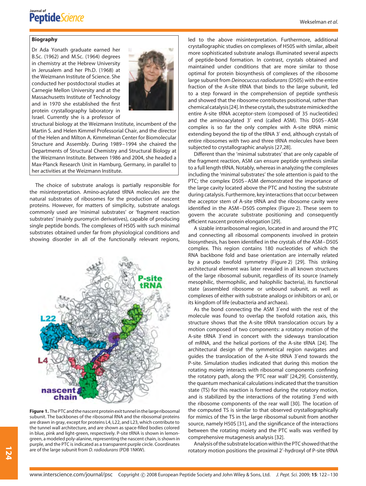#### **Biography**

Dr Ada Yonath graduate earned her B.Sc. (1962) and M.Sc. (1964) degrees in chemistry at the Hebrew University in Jerusalem and her Ph.D. (1968) at the Weizmann Institute of Science. She conducted her postdoctoral studies at Carnegie Mellon University and at the Massachusetts Institute of Technology and in 1970 she established the first protein crystallography laboratory in Israel. Currently she is a professor of



structural biology at the Weizmann Institute, incumbent of the Martin S. and Helen Kimmel Professorial Chair, and the director of the Helen and Milton A. Kimmelman Center for Biomolecular Structure and Assembly. During 1989–1994 she chaired the Departments of Structural Chemistry and Structural Biology at the Weizmann Institute. Between 1986 and 2004, she headed a Max-Planck Research Unit in Hamburg, Germany, in parallel to her activities at the Weizmann Institute.

The choice of substrate analogs is partially responsible for the misinterpretation. Amino-acylated tRNA molecules are the natural substrates of ribosomes for the production of nascent proteins. However, for matters of simplicity, substrate analogs commonly used are 'minimal substrates' or 'fragment reaction substrates' (mainly puromycin derivatives), capable of producing single peptide bonds. The complexes of H50S with such minimal substrates obtained under far from physiological conditions and showing disorder in all of the functionally relevant regions,



**Figure 1.** The PTC and the nascent protein exit tunnel in the large ribosomal subunit. The backbones of the ribosomal RNA and the ribosomal proteins are drawn in gray, except for proteins L4, L22, and L23, which contribute to the tunnel wall architecture, and are shown as space-filled bodies colored in blue, pink and light-green, respectively. P-site tRNA is shown in lemongreen, a modeled poly-alanine, representing the nascent chain, is shown in purple, and the PTC is indicated as a transparent purple circle. Coordinates are of the large subunit from *D. radiodurans* (PDB 1NKW).

led to the above misinterpretation. Furthermore, additional crystallographic studies on complexes of H50S with similar, albeit more sophisticated substrate analogs illuminated several aspects of peptide-bond formation. In contrast, crystals obtained and maintained under conditions that are more similar to those optimal for protein biosynthesis of complexes of the ribosome large subunit from *Deinocuccus radiodurans*(D50S) with the entire fraction of the A-site tRNA that binds to the large subunit, led to a step forward in the comprehension of peptide synthesis and showed that the ribosome contributes positional, rather than chemical catalysis [24]. In these crystals, the substrate mimicked the entire A-site tRNA acceptor-stem (composed of 35 nucleotides) and the aminoacylated 3' end (called ASM). This D50S-ASM complex is so far the only complex with A-site tRNA mimic extending beyond the tip of the tRNA 3' end, although crystals of entire ribosomes with two and three tRNA molecules have been subjected to crystallographic analysis [27,28].

Different than the 'minimal substrates' that are only capable of the fragment reaction, ASM can ensure peptide synthesis similar to a full length tRNA. Notably, whereas in analyzing the complexes including the 'minimal substrates' the sole attention is paid to the PTC; the complex D50S–ASM demonstrated the importance of the large cavity located above the PTC and hosting the substrate during catalysis. Furthermore, key interactions that occur between the acceptor stem of A-site tRNA and the ribosome cavity were identified in the ASM–D50S complex (Figure 2). These seem to govern the accurate substrate positioning and consequently efficient nascent protein elongation [29].

A sizable intraribosomal region, located in and around the PTC and connecting all ribosomal components involved in protein biosynthesis, has been identified in the crystals of the ASM–D50S complex. This region contains 180 nucleotides of which the RNA backbone fold and base orientation are internally related by a pseudo twofold symmetry (Figure 2) [29]. This striking architectural element was later revealed in all known structures of the large ribosomal subunit, regardless of its source (namely mesophilic, thermophilic, and halophilic bacteria), its functional state (assembled ribosome or unbound subunit, as well as complexes of either with substrate analogs or inhibitors or an), or its kingdom of life (eubacteria and archaea).

As the bond connecting the ASM 3'end with the rest of the molecule was found to overlap the twofold rotation axis, this structure shows that the A-site tRNA translocation occurs by a motion composed of two components: a rotatory motion of the A-site tRNA 3'end in concert with the sideways translocation of mRNA, and the helical portions of the A-site tRNA [24]. The architectural design of the symmetrical region navigates and guides the translocation of the A-site tRNA 3'end towards the P-site. Simulation studies indicated that during this motion the rotating moiety interacts with ribosomal components confining the rotatory path, along the 'PTC rear wall' [24,29]. Consistently, the quantum mechanical calculations indicated that the transition state (TS) for this reaction is formed during the rotatory motion, and is stabilized by the interactions of the rotating 3'end with the ribosome components of the rear wall [30]. The location of the computed TS is similar to that observed crystallographically for mimics of the TS in the large ribosomal subunit from another source, namely H50S [31], and the significance of the interactions between the rotating moiety and the PTC walls was verified by comprehensive mutagenesis analysis [32].

Analysis of the substrate location within the PTC showed that the rotatory motion positions the proximal 2 -hydroxyl of P-site tRNA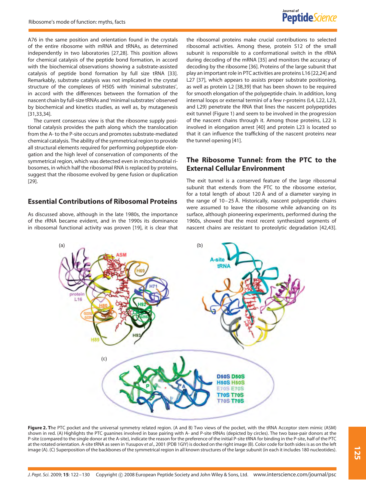

A76 in the same position and orientation found in the crystals of the entire ribosome with mRNA and tRNAs, as determined independently in two laboratories [27,28]. This position allows for chemical catalysis of the peptide bond formation, in accord with the biochemical observations showing a substrate-assisted catalysis of peptide bond formation by full size tRNA [33]. Remarkably, substrate catalysis was not implicated in the crystal structure of the complexes of H50S with 'minimal substrates', in accord with the differences between the formation of the nascent chain by full-size tRNAs and 'minimal substrates' observed by biochemical and kinetics studies, as well as, by mutagenesis [31,33,34].

The current consensus view is that the ribosome supply positional catalysis provides the path along which the translocation from the A- to the P-site occurs and promotes substrate-mediated chemical catalysis. The ability of the symmetrical region to provide all structural elements required for performing polypeptide elongation and the high level of conservation of components of the symmetrical region, which was detected even in mitochondrial ribosomes, in which half the ribosomal RNA is replaced by proteins, suggest that the ribosome evolved by gene fusion or duplication [29].

### **Essential Contributions of Ribosomal Proteins**

As discussed above, although in the late 1980s, the importance of the rRNA became evident, and in the 1990s its dominance in ribosomal functional activity was proven [19], it is clear that

the ribosomal proteins make crucial contributions to selected ribosomal activities. Among these, protein S12 of the small subunit is responsible to a conformational switch in the rRNA during decoding of the mRNA [35] and monitors the accuracy of decoding by the ribosome [36]. Proteins of the large subunit that play an important role in PTC activities are proteins L16 [22,24] and L27 [37], which appears to assists proper substrate positioning, as well as protein L2 [38,39] that has been shown to be required for smooth elongation of the polypeptide chain. In addition, long internal loops or external termini of a few r-proteins (L4, L22, L23, and L29) penetrate the RNA that lines the nascent polypeptides exit tunnel (Figure 1) and seem to be involved in the progression of the nascent chains through it. Among those proteins, L22 is involved in elongation arrest [40] and protein L23 is located so that it can influence the trafficking of the nascent proteins near the tunnel opening [41].

### **The Ribosome Tunnel: from the PTC to the External Cellular Environment**

The exit tunnel is a conserved feature of the large ribosomal subunit that extends from the PTC to the ribosome exterior, for a total length of about 120 Å and of a diameter varying in the range of 10–25 Å. Historically, nascent polypeptide chains were assumed to leave the ribosome while advancing on its surface, although pioneering experiments, performed during the 1960s, showed that the most recent synthesized segments of nascent chains are resistant to proteolytic degradation [42,43].



**Figure 2. T**he PTC pocket and the universal symmetry related region. (A and B) Two views of the pocket, with the tRNA Acceptor stem mimic (ASM) shown in red. (A) Highlights the PTC guanines involved in base pairing with A- and P-site tRNAs (depicted by circles). The two base-pair donors at the P-site (compared to the single donor at the A-site), indicate the reason for the preference of the initial P-site tRNA for binding in the P-site, half of the PTC at the rotated orientation. A-site tRNA as seen in Yusupov *et al*., 2001 (PDB 1GIY) is docked on the right image (B). Color code for both sides is as on the left image (A). (C) Superposition of the backbones of the symmetrical region in all known structures of the large subunit (in each it includes 180 nucleotides).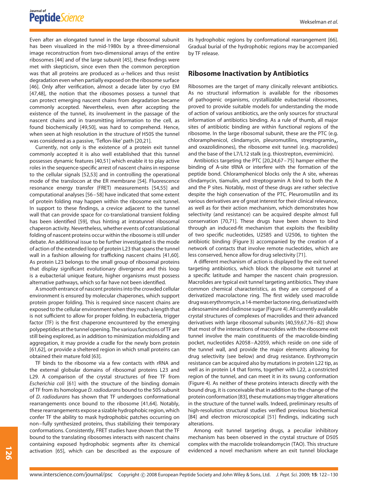Even after an elongated tunnel in the large ribosomal subunit has been visualized in the mid-1980s by a three-dimensional image reconstruction from two-dimensional arrays of the entire ribosomes [44] and of the large subunit [45], these findings were met with skepticism, since even then the common perception was that all proteins are produced as *α*-helices and thus resist degradation even when partially exposed on the ribosome surface [46]. Only after verification, almost a decade later by cryo EM [47,48], the notion that the ribosomes possess a tunnel that can protect emerging nascent chains from degradation became commonly accepted. Nevertheless, even after accepting the existence of the tunnel, its involvement in the passage of the nascent chains and in transmitting information to the cell, as found biochemically [49,50], was hard to comprehend. Hence, when seen at high resolution in the structure of H50S the tunnel was considered as a passive, 'Teflon-like' path [20,21].

Currently, not only is the existence of a protein exit tunnel commonly accepted it is also well established that this tunnel possesses dynamic features [40,51] which enable it to play active roles in the sequence-specific arrest of nascent chains in response to the cellular signals [52,53] and in controlling the operational mode of the translocon at the ER membrane [54]. Fluorescence resonance energy transfer (FRET) measurements [54,55] and computational analyses [56–58] have indicated that some extent of protein folding may happen within the ribosome exit tunnel. In support to these findings, a crevice adjacent to the tunnel wall that can provide space for co-translational transient folding has been identified [59], thus hinting at intratunnel ribosomal chaperon activity. Nevertheless, whether events of cotranslational folding of nascent proteins occur within the ribosome is still under debate. An additional issue to be further investigated is the mode of action of the extended loop of protein L23 that spans the tunnel wall in a fashion allowing for trafficking nascent chains [41,60]. As protein L23 belongs to the small group of ribosomal proteins that display significant evolutionary divergence and this loop is a eubacterial unique feature, higher organisms must possess alternative pathways, which so far have not been identified.

A smooth entrance of nascent proteins into the crowded cellular environment is ensured by molecular chaperones, which support protein proper folding. This is required since nascent chains are exposed to the cellular environment when they reach a length that is not sufficient to allow for proper folding. In eubacteria, trigger factor (TF) is the first chaperone encountered by the emerging polypeptides at the tunnel opening. The various functions of TF are still being explored, as in addition to minimization misfolding and aggregation, it may provide a cradle for the newly born protein [61,62], or provide a sheltered region in which small proteins can obtained their mature fold [63].

TF binds to the ribosome via a few contacts with rRNA and the external globular domains of ribosomal proteins L23 and L29. A comparison of the crystal structures of free TF from *Escherichia coli* [61] with the structure of the binding domain of TF from its homologue *D. radiodurans* bound to the 50S subunit of *D. radiodurans* has shown that TF undergoes conformational rearrangements once bound to the ribosome [41,64]. Notably, these rearrangements expose a sizable hydrophobic region, which confer TF the ability to mask hydrophobic patches occurring on non–fully synthesized proteins, thus stabilizing their temporary conformations. Consistently, FRET studies have shown that the TF bound to the translating ribosomes interacts with nascent chains containing exposed hydrophobic segments after its chemical activation [65], which can be described as the exposure of its hydrophobic regions by conformational rearrangement [66]. Gradual burial of the hydrophobic regions may be accompanied by TF release.

#### **Ribosome Inactivation by Antibiotics**

Ribosomes are the target of many clinically relevant antibiotics. As no structural information is available for the ribosomes of pathogenic organisms, crystallizable eubacterial ribosomes, proved to provide suitable models for understanding the mode of action of various antibiotics, are the only sources for structural information of antibiotics binding. As a rule of thumb, all major sites of antibiotic binding are within functional regions of the ribosome. In the large ribosomal subunit, these are the PTC (e.g. chloramphenicol, clindamycin, pleuromutilins, streptogramin $_A$ , and oxazolidinones), the ribosome exit tunnel (e.g. macrolides) and the base of the L7/L12 stalk (e.g. thiostrepton, evernimicin).

Antibiotics targeting the PTC [20,24,67–75] hamper either the binding of A-site tRNA or interfere with the formation of the peptide bond. Chloramphenicol blocks only the A site, whereas clindamycin, tiamulin, and streptogramin A bind to both the A and the P sites. Notably, most of these drugs are rather selective despite the high conservation of the PTC. Pleuromutilin and its various derivatives are of great interest for their clinical relevance, as well as for their action mechanism, which demonstrates how selectivity (and resistance) can be acquired despite almost full conservation [70,71]. These drugs have been shown to bind through an induced-fit mechanism that exploits the flexibility of two specific nucleotides, U2585 and U2506, to tighten the antibiotic binding (Figure 3) accompanied by the creation of a network of contacts that involve remote nucleotides, which are less conserved, hence allow for drug selectivity [71].

A different mechanism of action is displayed by the exit tunnel targeting antibiotics, which block the ribosome exit tunnel at a specific latitude and hamper the nascent chain progression. Macrolides are typical exit tunnel targeting antibiotics. They share common chemical characteristics, as they are composed of a derivatized macrolactone ring. The first widely used macrolide drug was erythromycin, a 14-member lactone ring, derivatized with a desosamine and cladinose sugar (Figure 4). All currently available crystal structures of complexes of macrolides and their advanced derivatives with large ribosomal subunits [40,59,67,76–82] show that most of the interactions of macrolides with the ribosome exit tunnel involve the main constituents of the macrolide-binding pocket, nucleotides A2058–A2059, which reside on one side of the tunnel wall, and provide the major elements allowing for drug selectivity (see below) and drug resistance. Erythromycin resistance can be acquired also by mutations in protein L22 tip, as well as in protein L4 that forms, together with L22, a constricted region of the tunnel, and can meet it in its swung conformation (Figure 4). As neither of these proteins interacts directly with the bound drug, it is conceivable that in addition to the change of the protein conformation [83], these mutations may trigger alterations in the structure of the tunnel walls. Indeed, preliminary results of high-resolution structural studies verified previous biochemical [84] and electron microscopical [51] findings, indicating such alterations.

Among exit tunnel targeting drugs, a peculiar inhibitory mechanism has been observed in the crystal structure of D50S complex with the macrolide troleandomycin (TAO). This structure evidenced a novel mechanism where an exit tunnel blockage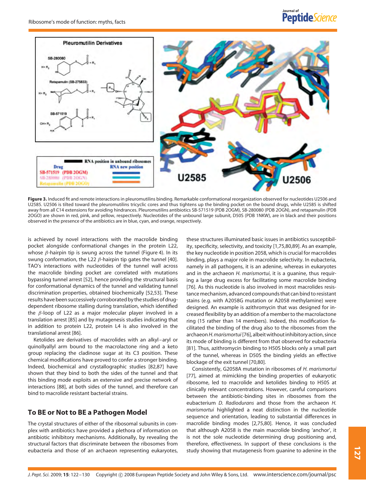

**Figure 3.** Induced fit and remote interactions in pleuromutilins binding. Remarkable conformational reorganization observed for nucleotides U2506 and U2585. U2506 is tilted toward the pleuromutilins tricyclic cores and thus tightens up the binding pocket on the bound drugs, while U2585 is shifted away from all C14 extensions for avoiding hindrances. Pleuromutilins antibiotics SB-571519 (PDB 2OGM), SB-280080 (PDB 2OGN), and retapamulin (PDB 2OGO) are shown in red, pink, and yellow, respectively. Nucleotides of the unbound large subunit, D50S (PDB 1NKW), are in black and their positions observed in the presence of the antibiotics are in blue, cyan, and orange, respectively.

is achieved by novel interactions with the macrolide binding pocket alongside conformational changes in the protein L22, whose *β*-hairpin tip is swung across the tunnel (Figure 4). In its swung conformation, the L22 *β*-hairpin tip gates the tunnel [40]. TAO's interactions with nucleotides of the tunnel wall across the macrolide binding pocket are correlated with mutations bypassing tunnel arrest [52], hence providing the structural basis for conformational dynamics of the tunnel and validating tunnel discrimination properties, obtained biochemically [52,53]. These results have been successively corroborated by the studies of drugdependent ribosome stalling during translation, which identified the *β*-loop of L22 as a major molecular player involved in a translation arrest [85] and by mutagenesis studies indicating that in addition to protein L22, protein L4 is also involved in the translational arrest [86].

Ketolides are derivatives of macrolides with an alkyl–aryl or quinollyallyl arm bound to the macrolactone ring and a keto group replacing the cladinose sugar at its C3 position. These chemical modifications have proved to confer a stronger binding. Indeed, biochemical and crystallographic studies [82,87] have shown that they bind to both the sides of the tunnel and that this binding mode exploits an extensive and precise network of interactions [88], at both sides of the tunnel, and therefore can bind to macrolide resistant bacterial strains.

## **To BE or Not to BE a Pathogen Model**

The crystal structures of either of the ribosomal subunits in complex with antibiotics have provided a plethora of information on antibiotic inhibitory mechanisms. Additionally, by revealing the structural factors that discriminate between the ribosomes from eubacteria and those of an archaeon representing eukaryotes,

these structures illuminated basic issues in antibiotics susceptibility, specificity, selectivity, and toxicity [1,75,80,89]. As an example, the key nucleotide in position 2058, which is crucial for macrolides binding, plays a major role in macrolide selectivity. In eubacteria, namely in all pathogens, it is an adenine, whereas in eukaryotes and in the archaeon *H. marismortui*, it is a guanine, thus requiring a large drug excess for facilitating some macrolide binding [76]. As this nucleotide is also involved in most macrolides resistance mechanism, advanced compounds that can bind to resistant stains (e.g. with A2058G mutation or A2058 methylamine) were designed. An example is azithromycin that was designed for increased flexibility by an addition of a member to the macrolactone ring (15 rather than 14 members). Indeed, this modification facilitated the binding of the drug also to the ribosomes from the archaeon*H.marismortui* [76], albeit without inhibitory action, since its mode of binding is different from that observed for eubacteria [81]. Thus, azithromycin binding to H50S blocks only a small part of the tunnel, whereas in D50S the binding yields an effective blockage of the exit tunnel [70,80].

Consistently, G2058A mutation in ribosomes of *H. marismortui* [77], aimed at mimicking the binding properties of eukaryotic ribosome, led to macrolide and ketolides binding to H50S at clinically relevant concentrations. However, careful comparisons between the antibiotic-binding sites in ribosomes from the eubacterium *D. Radiodurans* and those from the archaeon *H. marismortui* highlighted a neat distinction in the nucleotide sequence and orientation, leading to substantial differences in macrolide binding modes [2,75,80]. Hence, it was concluded that although A2058 is the main macrolide binding 'anchor', it is not the sole nucleotide determining drug positioning and, therefore, effectiveness. In support of these conclusions is the study showing that mutagenesis from guanine to adenine in the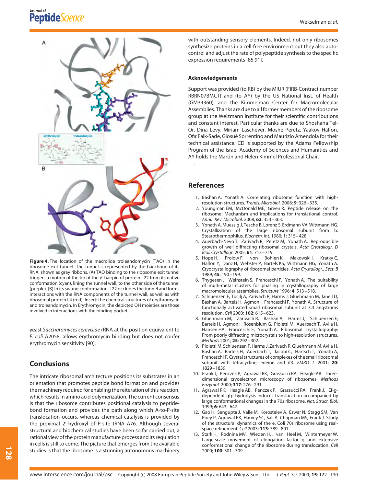# Journal of<br>**PeptideScience**





**Figure 4.** The location of the macrolide troleandomycin (TAO) in the ribosome exit tunnel. The tunnel is represented by the backbone of its RNA, shown as gray ribbons. (A) TAO binding to the ribosome exit tunnel triggers a motion of the tip of the *β*-hairpin of protein L22 from its native conformation (cyan), lining the tunnel wall, to the other side of the tunnel (purple). (B) In its swung conformation, L22 occludes the tunnel and forms interactions with the RNA components of the tunnel wall, as well as with ribosomal protein L4 (red). Insert: the chemical structures of erythromycin and troleandomycin. In Erythromycin, the depicted OH moieties are those involved in interactions with the binding pocket.

yeast *Saccharomyces cerevisiae* rRNA at the position equivalent to *E. coli* A2058, allows erythromycin binding but does not confer erythromycin sensitivity [90].

## **Conclusions**

The intricate ribosomal architecture positions its substrates in an orientation that promotes peptide bond formation and provides the machinery required for enabling the reiteration of this reaction, which results in amino acid polymerization. The current consensus is that the ribosome contributes positional catalysis to peptidebond formation and provides the path along which A-to-P-site translocation occurs, whereas chemical catalysis is provided by the proximal 2 -hydroxyl of P-site tRNA A76. Although several structural and biochemical studies have been so far carried out, a rational view of the protein manufacture process and its regulation in cells is still to come. The picture that emerges from the available studies is that the ribosome is a stunning autonomous machinery with outstanding sensory elements. Indeed, not only ribosomes synthesize proteins in a cell-free environment but they also autocontrol and adjust the rate of polypeptide synthesis to the specific expression requirements [85,91].

#### **Acknowledgements**

Support was provided (to RB) by the MIUR (FIRB-Contract number RBRN07BMCT) and (to AY) by the US National Inst. of Health (GM34360), and the Kimmelman Center for Macromolecular Assemblies. Thanks are due to all former members of the ribosome group at the Weizmann Institute for their scientific contributions and constant interest. Particular thanks are due to Shoshana Tel-Or, Dina Levy, Miriam Laschever, Moshe Peretz, Yaakov Halfon, Ofir Falk-Sade, Giosue Sorrentino and Maurizio Amendola for their ` technical assistance. CD is supported by the Adams Fellowship Program of the Israel Academy of Sciences and Humanities and AY holds the Martin and Helen Kimmel Professorial Chair.

#### **References**

.

- 1. Bashan A, Yonath A. Correlating ribosome function with highresolution structures. *Trends. Microbiol.* 2008; **9**: 326–335.
- 2. Youngman EM, McDonald ME, Green R. Peptide release on the ribosome: Mechanism and implications for translational control. *Annu. Rev. Microbiol.* 2008; **62**: 353–363.
- 3. Yonath A, Muessig J, Tesche B, Lorenz S, Erdmann VA, Wittmann HG. Crystallization of the large ribosomal subunit from b. Stearothermophilus. *Biochem. Int.* 1980; **1**: 315–428.
- 4. Auerbach-Nevo T, Zarivach R, Peretz M, Yonath A. Reproducible growth of well diffracting ribosomal crystals. *Acta Crystallogr. D Biol. Crystallogr.* 2005; **61**: 713–719.
- 5. Hope H, Frolow F, von Bohlen K, Makowski I, Kratky C, Halfon Y, Danz H, Webster P, Bartels KS, Wittmann HG, Yonath A. Cryocrystallography of ribosomal particles. *Acta Crystallogr., Sect. B* 1989; **45**: 190–199.
- 6. Thygesen J, Weinstein S, Franceschi F, Yonath A. The suitability of multi-metal clusters for phasing in crystallography of large macromolecular assemblies. *Structure* 1996; **4**: 513–518.
- 7. Schluenzen F, Tocilj A, Zarivach R, Harms J, Gluehmann M, Janell D, Bashan A, Bartels H, Agmon I, Franceschi F, Yonath A. Structure of functionally activated small ribosomal subunit at 3.3 angstroms resolution. *Cell* 2000; **102**: 615–623.
- 8. Gluehmann M, Zarivach R, Bashan A, Harms J, Schluenzen F, Bartels H, Agmon J, Rosenblum G, Pioletti M, Auerbach T, Avila H, Hansen HA, Franceschi F, Yonath A. Ribosomal crystallography: From poorly diffracting microcrystals to high-resolution structures. *Methods* 2001; **25**: 292–302.
- 9. Pioletti M, Schluenzen F, Harms J, Zarivach R, Gluehmann M, Avila H, Bashan A, Bartels H, Auerbach T, Jacobi C, Hartsch T, Yonath A, Franceschi F. Crystal structures of complexes of the small ribosomal subunit with tetracycline, edeine and if3. *EMBO J.* 2001; **20**: 1829–1839.
- 10. Frank J, Penczek P, Agrawal RK, Grassucci RA, Heagle AB. Threedimensional cryoelectron microscopy of ribosomes. *Methods Enzymol.* 2000; **317**: 276–291.
- 11. Agrawal RK, Heagle AB, Penczek P, Grassucci RA, Frank J. Ef-gdependent gtp hydrolysis induces translocation accompanied by large conformational changes in the 70s ribosome. *Nat. Struct. Biol.* 1999; **6**: 643–647.
- 12. Gao H, Sengupta J, Valle M, Korostelev A, Eswar N, Stagg SM, Van Roey P, Agrawal RK, Harvey SC, Sali A, Chapman MS, Frank J. Study of the structural dynamics of the e. Coli 70s ribosome using realspace refinement. *Cell* 2003; **113**: 789–801.
- 13. Stark H, Rodnina MV, Wieden HJ, van Heel M, Wintermeyer W. Large-scale movement of elongation factor g and extensive conformational change of the ribosome during translocation. *Cell* 2000; **100**: 301–309.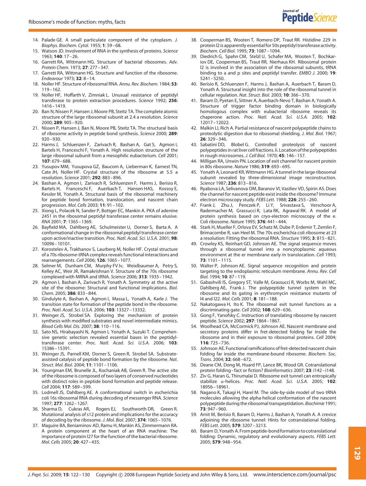- 14. Palade GE. A small particulate component of the cytoplasm. *J. Biophys. Biochem. Cytol.* 1955; **1**: 59–68.
- 15. Watson JD. Involvement of RNA in the synthesis of proteins. *Science* 1963; **140**: 17–26.
- 16. Garrett RA, Wittmann HG. Structure of bacterial ribosomes. *Adv. Protein Chem.* 1973; **27**: 277–347.
- 17. Garrett RA, Wittmann HG. Structure and function of the ribosome. *Endeavour* 1973; **32**: 8–14.
- 18. Noller HF. Structure of ribosomal RNA. *Annu. Rev. Biochem.* 1984; **53**: 119–162.
- 19. Noller HF, Hoffarth V, Zimniak L. Unusual resistance of peptidyl transferase to protein extraction procedures. *Science* 1992; **256**: 1416–1419.
- 20. Ban N, Nissen P, Hansen J, Moore PB, Steitz TA. The complete atomic structure of the large ribosomal subunit at 2.4 a resolution. *Science* 2000; **289**: 905–920.
- 21. Nissen P, Hansen J, Ban N, Moore PB, Steitz TA. The structural basis of ribosome activity in peptide bond synthesis. *Science* 2000; **289**: 920–930.
- 22. Harms J, Schluenzen F, Zarivach R, Bashan A, Gat S, Agmon I, Bartels H, Franceschi F, Yonath A. High resolution structure of the large ribosomal subunit from a mesophilic eubacterium. *Cell* 2001; **107**: 679–688.
- 23. Yusupov MM, Yusupova GZ, Baucom A, Lieberman K, Earnest TN, Cate JH, Noller HF. Crystal structure of the ribosome at 5.5 a resolution. *Science* 2001; **292**: 883–896.
- 24. Bashan A, Agmon I, Zarivach R, Schluenzen F, Harms J, Berisio R, Bartels H, Franceschi F, Auerbach T, Hansen HAS, Kossoy E, Kessler M, Yonath A. Structural basis of the ribosomal machinery for peptide bond formation, translocation, and nascent chain progression. *Mol. Cells* 2003; **11**: 91–102.
- 25. Xiong L, Polacek N, Sander P, Bottger EC, Mankin A. PKA of adenine 2451 in the ribosomal peptidyl transferase center remains elusive. *RNA* 2001; **7**: 1365–1369.
- 26. Bayfield MA, Dahlberg AE, Schulmeister U, Dorner S, Barta A. A conformational change in the ribosomal peptidyl transferase center upon active/inactive transition. *Proc. Natl. Acad. Sci. U.S.A.* 2001; **98**: 10096–10101.
- 27. Korostelev A, Trakhanov S, Laurberg M, Noller HF. Crystal structure of a 70s ribosome-tRNA complex reveals functional interactions and rearrangements. *Cell* 2006; **126**: 1065–1077.
- 28. Selmer M, Dunham CM, Murphy FV Iv, Weixlbaumer A, Petry S, Kelley AC, Weir JR, Ramakrishnan V. Structure of the 70s ribosome complexed with MRNA and tRNA. *Science* 2006; **313**: 1935–1942.
- 29. Agmon I, Bashan A, Zarivach R, Yonath A. Symmetry at the active site of the ribosome: Structural and functional implications. *Biol. Chem.* 2005; **386**: 833–844.
- 30. Gindulyte A, Bashan A, Agmon I, Massa L, Yonath A, Karle J. The transition state for formation of the peptide bond in the ribosome. *Proc. Natl. Acad. Sci. U.S.A.* 2006; **103**: 13327–13332.
- 31. Weinger JS, Strobel SA. Exploring the mechanism of protein synthesis with modified substrates and novel intermediate mimics. *Blood Cells Mol. Dis.* 2007; **38**: 110–116.
- 32. Sato NS, Hirabayashi N, Agmon I, Yonath A, Suzuki T. Comprehensive genetic selection revealed essential bases in the peptidyltransferase center. *Proc. Natl. Acad. Sci. U.S.A.* 2006; **103**: 15386–15391.
- 33. Weinger JS, Parnell KM, Dorner S, Green R, Strobel SA. Substrateassisted catalysis of peptide bond formation by the ribosome. *Nat. Struct. Mol. Biol.* 2004; **11**: 1101–1106.
- 34. Youngman EM, Brunelle JL, Kochaniak AB, Green R. The active site of the ribosome is composed of two layers of conserved nucleotides with distinct roles in peptide bond formation and peptide release. *Cell* 2004; **117**: 589–599.
- 35. Lodmell JS, Dahlberg AE. A conformational switch in escherichia coli 16s ribosomal RNA during decoding of messenger RNA. *Science* 1997; **277**: 1262–1267.
- 36. Sharma D, Cukras AR, Rogers EJ, Southworth DR, Green R. Mutational analysis of s12 protein and implications for the accuracy of decoding by the ribosome. *J. Mol. Biol.* 2007; **374**: 1065–1076.
- 37. Maguire BA, Beniaminov AD, Ramu H, Mankin AS, Zimmermann RA. A protein component at the heart of an RNA machine: The importance of protein l27 for the function of the bacterial ribosome. *Mol. Cells* 2005; **20**: 427–435.
- 38. Cooperman BS, Wooten T, Romero DP, Traut RR. Histidine 229 in protein l2 is apparently essential for 50s peptidyl transferase activity. *Biochem. Cell Biol.* 1995; **73**: 1087–1094.
- 39. Diedrich G, Spahn CM, Stelzl U, Schafer MA, Wooten T, Bochkariov DE, Cooperman BS, Traut RR, Nierhaus KH. Ribosomal protein l2 is involved in the association of the ribosomal subunits, tRNA binding to a and p sites and peptidyl transfer. *EMBO J.* 2000; **19**: 5241–5250.
- 40. Berisio R, Schluenzen F, Harms J, Bashan A, Auerbach T, Baram D, Yonath A. Structural insight into the role of the ribosomal tunnel in cellular regulation. *Nat. Struct. Biol.* 2003; **10**: 366–370.
- 41. Baram D, Pyetan E, Sittner A, Auerbach-Nevo T, Bashan A, Yonath A. Structure of trigger factor binding domain in biologically homologous complex with eubacterial ribosome reveals its chaperone action. *Proc. Natl. Acad. Sci. U.S.A.* 2005; **102**: 12017–12022.
- 42. Malkin LI, Rich A. Partial resistance of nascent polypeptide chains to proteolytic digestion due to ribosomal shielding. *J. Mol. Biol.* 1967; **26**: 329–346.
- 43. Sabatini DD, Blobel G. Controlled proteolysis of nascent polypeptides in rat liver cell fractions. Ii. Location of the polypeptides in rough microsomes. *J. Cell Biol.* 1970; **45**: 146–157.
- 44. Milligan RA, Unwin PN. Location of exit channel for nascent protein in 80s ribosome. *Nature* 1986; **319**: 693–695.
- 45. Yonath A, Leonard KR, Wittmann HG. A tunnel in the large ribosomal subunit revealed by three-dimensional image reconstruction. *Science* 1987; **236**: 813–816.
- 46. Ryabova LA, Selivanova OM, Baranov VI, Vasiliev VD, Spirin AS. Does the channel for nascent peptide exist inside the ribosome? Immune electron microscopy study. *FEBS Lett.* 1988; **226**: 255–260.
- 47. Frank J, Zhu J, Penczek P, Li Y, Srivastava S, Verschoor A, Radermacher M, Grassucci R, Lata RK, Agrawal RK. A model of protein synthesis based on cryo-electron microscopy of the e. Coli ribosome. *Nature* 1995; **376**: 441–444.
- 48. Stark H, Mueller F, Orlova EV, Schatz M, Dube P, Erdemir T, Zemlin F, Brimacombe R, van Heel M. The 70s escherichia coli ribosome at 23 a resolution: Fitting the ribosomal RNA. *Structure* 1995; **3**: 815–821.
- 49. Crowley KS, Reinhart GD, Johnson AE. The signal sequence moves through a ribosomal tunnel into a noncytoplasmic aqueous environment at the er membrane early in translocation. *Cell* 1993; **73**: 1101–1115.
- 50. Walter P, Johnson AE. Signal sequence recognition and protein targeting to the endoplasmic reticulum membrane. *Annu. Rev. Cell Biol.* 1994; **10**: 87–119.
- 51. Gabashvili IS, Gregory ST, Valle M, Grassucci R, Worbs M, Wahl MC, Dahlberg AE, Frank J. The polypeptide tunnel system in the ribosome and its gating in erythromycin resistance mutants of l4 and l22. *Mol. Cells* 2001; **8**: 181–188.
- 52. Nakatogawa H, Ito K. The ribosomal exit tunnel functions as a discriminating gate. *Cell* 2002; **108**: 629–636.
- 53. Gong F, Yanofsky C. Instruction of translating ribosome by nascent peptide. *Science* 2002; **297**: 1864–1867.
- 54. Woolhead CA, McCormick PJ, Johnson AE. Nascent membrane and secretory proteins differ in fret-detected folding far inside the ribosome and in their exposure to ribosomal proteins. *Cell* 2004; **116**: 725–736.
- 55. Johnson AE. Functional ramifications of fret-detected nascent chain folding far inside the membrane-bound ribosome. *Biochem. Soc. Trans.* 2004; **32**: 668–672.
- 56. Deane CM, Dong M, Huard FP, Lance BK, Wood GR. Cotranslational protein folding–fact or fiction? *Bioinformatics* 2007; **23**: i142–i148.
- 57. Ziv G, Haran G, Thirumalai D. Ribosome exit tunnel can entropically stabilize *α*-helices. *Proc. Natl. Acad. Sci. U.S.A.* 2005; **102**: 18956–18961.
- 58. Nagano K, Takagi H, Harel M. The side-by-side model of two tRNA molecules allowing the alpha-helical conformation of the nascent polypeptide during the ribosomal transpeptidation. *Biochimie* 1991; **73**: 947–960.
- 59. Amit M, Berisio R, Baram D, Harms J, Bashan A, Yonath A. A crevice adioining the ribosome tunnel: Hints for cotranslational folding. *FEBS Lett.* 2005; **579**: 3207–3213.
- 60. Baram D, Yonath A. From peptide-bond formation to cotranslational folding: Dynamic, regulatory and evolutionary aspects. *FEBS Lett.* 2005; **579**: 948–954.